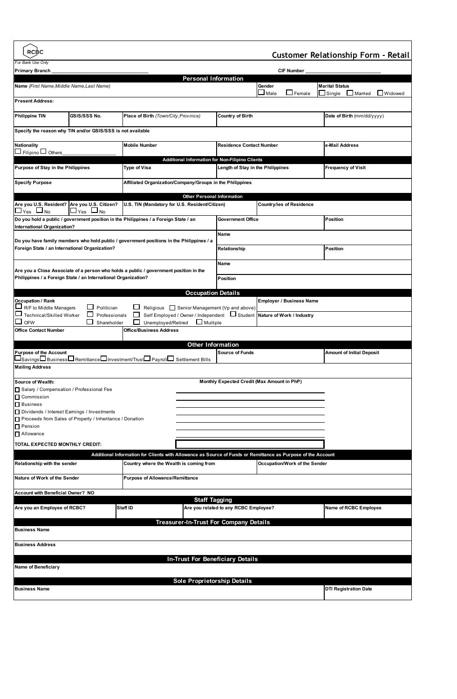| <b>RCBC</b><br><b>Customer Relationship Form - Retail</b>                                                                                                                                                     |                     |                                                                                          |                                   |                                                                         |                                                                                                              |                                  |  |  |
|---------------------------------------------------------------------------------------------------------------------------------------------------------------------------------------------------------------|---------------------|------------------------------------------------------------------------------------------|-----------------------------------|-------------------------------------------------------------------------|--------------------------------------------------------------------------------------------------------------|----------------------------------|--|--|
| For Bank Use Only<br><b>Primary Branch</b><br><b>CIF Number</b>                                                                                                                                               |                     |                                                                                          |                                   |                                                                         |                                                                                                              |                                  |  |  |
| <b>Personal Information</b>                                                                                                                                                                                   |                     |                                                                                          |                                   |                                                                         |                                                                                                              |                                  |  |  |
| Name (First Name, Middle Name, Last Name)                                                                                                                                                                     |                     |                                                                                          |                                   |                                                                         | Gender                                                                                                       | <b>Marital Status</b>            |  |  |
| <b>L</b> Widowed<br>$\Box$ Female<br>$\Box$ Married<br>Single<br>Male<br><b>Present Address:</b>                                                                                                              |                     |                                                                                          |                                   |                                                                         |                                                                                                              |                                  |  |  |
| Philippine TIN                                                                                                                                                                                                | <b>GSIS/SSS No.</b> | Place of Birth (Town/City, Province)                                                     |                                   | <b>Country of Birth</b>                                                 |                                                                                                              | Date of Birth (mm/dd/yyyy)       |  |  |
| Specify the reason why TIN and/or GSIS/SSS is not available                                                                                                                                                   |                     |                                                                                          |                                   |                                                                         |                                                                                                              |                                  |  |  |
| <b>Nationality</b><br>Filipino $\Box$ Others                                                                                                                                                                  |                     | <b>Mobile Number</b>                                                                     | <b>Residence Contact Number</b>   |                                                                         | e-Mail Address                                                                                               |                                  |  |  |
|                                                                                                                                                                                                               |                     | Additional Information for Non-Filipino Clients                                          |                                   |                                                                         |                                                                                                              |                                  |  |  |
| Purpose of Stay in the Philippines                                                                                                                                                                            |                     | Type of Visa                                                                             |                                   | Length of Stay in the Philippines                                       |                                                                                                              | <b>Frequency of Visit</b>        |  |  |
| <b>Specify Purpose</b><br>Affiliated Organization/Company/Groups in the Philippines                                                                                                                           |                     |                                                                                          |                                   |                                                                         |                                                                                                              |                                  |  |  |
|                                                                                                                                                                                                               |                     |                                                                                          | <b>Other Personal Information</b> |                                                                         |                                                                                                              |                                  |  |  |
| Are you U.S. Resident? Are you U.S. Citizen?<br>$\Box_{\text{Yes}} \Box_{\text{No}} \Box_{\text{Yes}} \Box_{\text{No}}$                                                                                       |                     | U.S. TIN (Mandatory for U.S. Resident/Citizen)                                           |                                   |                                                                         | Country/ies of Residence                                                                                     |                                  |  |  |
| Do you hold a public / government position in the Philippines / a Foreign State / an<br>International Organization?                                                                                           |                     |                                                                                          |                                   | <b>Government Office</b>                                                |                                                                                                              | Position                         |  |  |
|                                                                                                                                                                                                               |                     | Do you have family members who hold public / government positions in the Philippines / a |                                   | Name                                                                    |                                                                                                              |                                  |  |  |
| Foreign State / an International Organization?                                                                                                                                                                |                     |                                                                                          |                                   | Position<br>Relationship                                                |                                                                                                              |                                  |  |  |
|                                                                                                                                                                                                               |                     |                                                                                          |                                   | <b>Name</b>                                                             |                                                                                                              |                                  |  |  |
| Philippines / a Foreign State / an International Organization?                                                                                                                                                |                     | Are you a Close Associate of a person who holds a public / government position in the    |                                   | Position                                                                |                                                                                                              |                                  |  |  |
|                                                                                                                                                                                                               |                     |                                                                                          |                                   |                                                                         |                                                                                                              |                                  |  |  |
|                                                                                                                                                                                                               |                     |                                                                                          | <b>Occupation Details</b>         |                                                                         |                                                                                                              |                                  |  |  |
| Occupation / Rank<br>$\Box$ R/F to Middle N<br><b>Employer / Business Name</b><br>Religious Senior Management (Vp and above)<br>R/F to Middle Managers<br>Politician                                          |                     |                                                                                          |                                   |                                                                         |                                                                                                              |                                  |  |  |
| Technical/Skilled Worker<br><b>OFW</b>                                                                                                                                                                        | Professionals       | ப<br>$\Box$                                                                              |                                   | Self Employed / Owner / Independent U Student Nature of Work / Industry |                                                                                                              |                                  |  |  |
| <b>Office Contact Number</b>                                                                                                                                                                                  | Shareholder         | Unemployed/Retired<br><b>Office/Business Address</b>                                     | $\Box$ Multiple                   |                                                                         |                                                                                                              |                                  |  |  |
|                                                                                                                                                                                                               |                     |                                                                                          | <b>Other Information</b>          |                                                                         |                                                                                                              |                                  |  |  |
| <b>Purpose of the Account</b>                                                                                                                                                                                 |                     |                                                                                          |                                   | <b>Source of Funds</b>                                                  |                                                                                                              | <b>Amount of Initial Deposit</b> |  |  |
| $\sqcup_{\mathsf{Savings}} \sqcap_{\mathsf{Business}} \sqcap_{\mathsf{Remittance}} \sqcap_{\mathsf{Investment/Trust}} \sqcap_{\mathsf{Payroll}} \sqcap_{\mathsf{Settlement~Bills}}$<br><b>Mailing Address</b> |                     |                                                                                          |                                   |                                                                         |                                                                                                              |                                  |  |  |
| Source of Wealth:                                                                                                                                                                                             |                     |                                                                                          |                                   |                                                                         |                                                                                                              |                                  |  |  |
| Salary / Compensation / Professional Fee                                                                                                                                                                      |                     |                                                                                          |                                   | Monthly Expected Credit (Max Amount in PhP)                             |                                                                                                              |                                  |  |  |
| Commission                                                                                                                                                                                                    |                     |                                                                                          |                                   |                                                                         |                                                                                                              |                                  |  |  |
| $\Box$ Business<br>Dividends / Interest Earnings / Investments                                                                                                                                                |                     |                                                                                          |                                   |                                                                         |                                                                                                              |                                  |  |  |
| Proceeds from Sales of Property / Inheritance / Donation                                                                                                                                                      |                     |                                                                                          |                                   |                                                                         |                                                                                                              |                                  |  |  |
| $\Box$ Pension<br>Allowance                                                                                                                                                                                   |                     |                                                                                          |                                   |                                                                         |                                                                                                              |                                  |  |  |
| TOTAL EXPECTED MONTHLY CREDIT:                                                                                                                                                                                |                     |                                                                                          |                                   |                                                                         |                                                                                                              |                                  |  |  |
|                                                                                                                                                                                                               |                     |                                                                                          |                                   |                                                                         | Additional Information for Clients with Allowance as Source of Funds or Remittance as Purpose of the Account |                                  |  |  |
| Relationship with the sender                                                                                                                                                                                  |                     | Country where the Wealth is coming from                                                  |                                   |                                                                         | Occupation/Work of the Sender                                                                                |                                  |  |  |
| Nature of Work of the Sender                                                                                                                                                                                  |                     | <b>Purpose of Allowance/Remittance</b>                                                   |                                   |                                                                         |                                                                                                              |                                  |  |  |
| Account with Beneficial Owner? NO                                                                                                                                                                             |                     |                                                                                          |                                   |                                                                         |                                                                                                              |                                  |  |  |
| Are you an Employee of RCBC?                                                                                                                                                                                  |                     | Staff ID                                                                                 | <b>Staff Tagging</b>              | Are you related to any RCBC Employee?                                   |                                                                                                              | Name of RCBC Employee            |  |  |
|                                                                                                                                                                                                               |                     |                                                                                          |                                   |                                                                         |                                                                                                              |                                  |  |  |
| Treasurer-In-Trust For Company Details<br><b>Business Name</b>                                                                                                                                                |                     |                                                                                          |                                   |                                                                         |                                                                                                              |                                  |  |  |
| <b>Business Address</b>                                                                                                                                                                                       |                     |                                                                                          |                                   |                                                                         |                                                                                                              |                                  |  |  |
| <b>In-Trust For Beneficiary Details</b>                                                                                                                                                                       |                     |                                                                                          |                                   |                                                                         |                                                                                                              |                                  |  |  |
| <b>Name of Beneficiary</b>                                                                                                                                                                                    |                     |                                                                                          |                                   |                                                                         |                                                                                                              |                                  |  |  |
| <b>Sole Proprietorship Details</b>                                                                                                                                                                            |                     |                                                                                          |                                   |                                                                         |                                                                                                              |                                  |  |  |
| DTI Registration Date<br><b>Business Name</b>                                                                                                                                                                 |                     |                                                                                          |                                   |                                                                         |                                                                                                              |                                  |  |  |